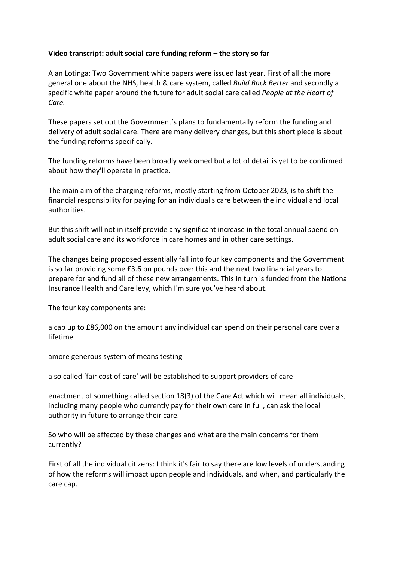## **Video transcript: adult social care funding reform – the story so far**

Alan Lotinga: Two Government white papers were issued last year. First of all the more general one about the NHS, health & care system, called *Build Back Better* and secondly a specific white paper around the future for adult social care called *People at the Heart of Care.*

These papers set out the Government's plans to fundamentally reform the funding and delivery of adult social care. There are many delivery changes, but this short piece is about the funding reforms specifically.

The funding reforms have been broadly welcomed but a lot of detail is yet to be confirmed about how they'll operate in practice.

The main aim of the charging reforms, mostly starting from October 2023, is to shift the financial responsibility for paying for an individual's care between the individual and local authorities.

But this shift will not in itself provide any significant increase in the total annual spend on adult social care and its workforce in care homes and in other care settings.

The changes being proposed essentially fall into four key components and the Government is so far providing some £3.6 bn pounds over this and the next two financial years to prepare for and fund all of these new arrangements. This in turn is funded from the National Insurance Health and Care levy, which I'm sure you've heard about.

The four key components are:

a cap up to £86,000 on the amount any individual can spend on their personal care over a lifetime

amore generous system of means testing

a so called 'fair cost of care' will be established to support providers of care

enactment of something called section 18(3) of the Care Act which will mean all individuals, including many people who currently pay for their own care in full, can ask the local authority in future to arrange their care.

So who will be affected by these changes and what are the main concerns for them currently?

First of all the individual citizens: I think it's fair to say there are low levels of understanding of how the reforms will impact upon people and individuals, and when, and particularly the care cap.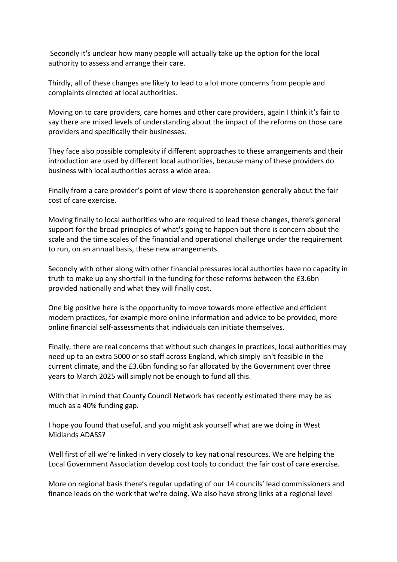Secondly it's unclear how many people will actually take up the option for the local authority to assess and arrange their care.

Thirdly, all of these changes are likely to lead to a lot more concerns from people and complaints directed at local authorities.

Moving on to care providers, care homes and other care providers, again I think it's fair to say there are mixed levels of understanding about the impact of the reforms on those care providers and specifically their businesses.

They face also possible complexity if different approaches to these arrangements and their introduction are used by different local authorities, because many of these providers do business with local authorities across a wide area.

Finally from a care provider's point of view there is apprehension generally about the fair cost of care exercise.

Moving finally to local authorities who are required to lead these changes, there's general support for the broad principles of what's going to happen but there is concern about the scale and the time scales of the financial and operational challenge under the requirement to run, on an annual basis, these new arrangements.

Secondly with other along with other financial pressures local authorties have no capacity in truth to make up any shortfall in the funding for these reforms between the £3.6bn provided nationally and what they will finally cost.

One big positive here is the opportunity to move towards more effective and efficient modern practices, for example more online information and advice to be provided, more online financial self-assessments that individuals can initiate themselves.

Finally, there are real concerns that without such changes in practices, local authorities may need up to an extra 5000 or so staff across England, which simply isn't feasible in the current climate, and the £3.6bn funding so far allocated by the Government over three years to March 2025 will simply not be enough to fund all this.

With that in mind that County Council Network has recently estimated there may be as much as a 40% funding gap.

I hope you found that useful, and you might ask yourself what are we doing in West Midlands ADASS?

Well first of all we're linked in very closely to key national resources. We are helping the Local Government Association develop cost tools to conduct the fair cost of care exercise.

More on regional basis there's regular updating of our 14 councils' lead commissioners and finance leads on the work that we're doing. We also have strong links at a regional level